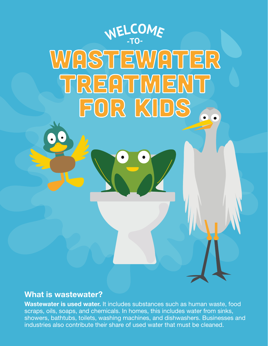

## What is wastewater?

Wastewater is used water. It includes substances such as human waste, food scraps, oils, soaps, and chemicals. In homes, this includes water from sinks, showers, bathtubs, toilets, washing machines, and dishwashers. Businesses and industries also contribute their share of used water that must be cleaned.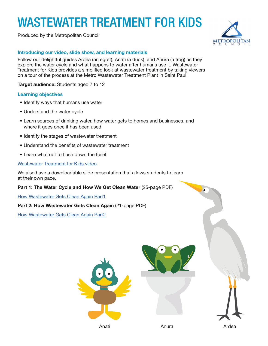## WASTEWATER TREATMENT FOR KIDS

Produced by the Metropolitan Council



### Introducing our video, slide show, and learning materials

Follow our delightful guides Ardea (an egret), Anati (a duck), and Anura (a frog) as they explore the water cycle and what happens to water after humans use it. Wastewater Treatment for Kids provides a simplifed look at wastewater treatment by taking viewers on a tour of the process at the Metro Wastewater Treatment Plant in Saint Paul.

Target audience: Students aged 7 to 12

### Learning objectives

- Identify ways that humans use water
- Understand the water cycle
- Learn sources of drinking water, how water gets to homes and businesses, and where it goes once it has been used
- Identify the stages of wastewater treatment
- Understand the benefits of wastewater treatment
- Learn what not to fush down the toilet

### [Wastewater Treatment for Kids video](https://metrocouncil.org/Wastewater-Water/Services/Wastewater-Treatment/Wastewater-Treatment-for-Kids.aspx)

We also have a downloadable slide presentation that allows students to learn at their own pace.

### Part 1: The Water Cycle and How We Get Clean Water (25-page PDF)

[How Wastewater Gets Clean Again Part1](https://metrocouncil.org/Wastewater-Water/Publications-And-Resources/MCES-INFORMATION/Educational/ES_kids_book-pdf.aspx) 

### Part 2: How Wastewater Gets Clean Again (21-page PDF)

[How Wastewater Gets Clean Again](https://metrocouncil.org/Wastewater-Water/Publications-And-Resources/MCES-INFORMATION/Educational/How-Wastewater-Gets-Clean-Again.aspx) Part2





Anura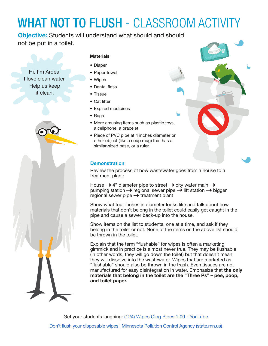## WHAT NOT TO FLUSH - CLASSROOM ACTIVITY

Objective: Students will understand what should and should not be put in a toilet.

Hi, I'm Ardea! I love clean water. Help us keep it clean.



## **Materials**

- Diaper
- Paper towel
- Wipes
- Dental floss
- Tissue
- Cat litter
- Expired medicines
- Rags
- More amusing items such as plastic toys, a cellphone, a bracelet
- Piece of PVC pipe at 4 inches diameter or other object (like a soup mug) that has a similar-sized base, or a ruler.

## **Demonstration**

Review the process of how wastewater goes from a house to a treatment plant:

House  $\rightarrow$  4" diameter pipe to street  $\rightarrow$  city water main  $\rightarrow$ pumping station  $\rightarrow$  regional sewer pipe  $\rightarrow$  lift station  $\rightarrow$  bigger regional sewer pipe  $\rightarrow$  treatment plant

Show what four inches in diameter looks like and talk about how materials that don't belong in the toilet could easily get caught in the pipe and cause a sewer back-up into the house.

Show items on the list to students, one at a time, and ask if they belong in the toilet or not. None of the items on the above list should be thrown in the toilet.

Explain that the term "fushable" for wipes is often a marketing gimmick and in practice is almost never true. They may be fushable (in other words, they will go down the toilet) but that doesn't mean they will dissolve into the wastewater. Wipes that are marketed as "fushable" should also be thrown in the trash. Even tissues are not manufactured for easy disintegration in water. Emphasize that the only materials that belong in the toilet are the "Three Ps" – pee, poop, and toilet paper.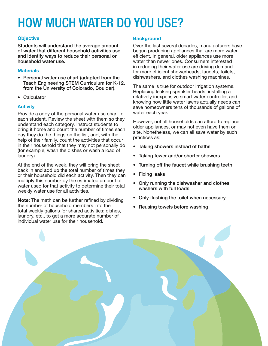## HOW MUCH WATER DO YOU USE?

and identify ways to reduce their personal or efficient. In general, older appliances use more<br>
water than newer ones. Consumers interested

- Personal water use chart (adapted from the dishwashers, and clothes washing machines. Teach Engineering STEM Curriculum for K-12,<br>from the University of Colorado, Boulder).
- 

Provide a copy of the personal water use chart to water each year. each student. Review the sheet with them so they<br>understand each category. Instruct students to<br>bring it home and count the number of times each<br>day they do the things on the list, and, with the<br>help of their family, count in their household that they may not personally do **• Taking showers instead of baths** (for example, wash the dishes or wash a load of laundry). • Taking fewer and/or shorter showers **•** Taking fewer and/or shorter showers

At the end of the week, they will bring the sheet • Turning off the faucet while brushing teeth back in and add up the total number of times they or their household did each activity. Then they can • Fixing leaks<br>multiply this number by the estimated amount of multiply this number by the estimated amount of **•** Only running the dishwasher and clothes water used for that activity to determine their total **•** Only running the dishwasher and clothes washers with full loads weekly w

**Note:** The math can be further refined by dividing **Canadian Philippe in Mote:** The math can be further refined by dividing **Canadian Philippe in the number of household members into the <b>Peusing towels before washing** the number of household members into the **e Reusing towels before washing** total weekly gallons for shared activities: dishes, laundry, etc., to get a more accurate number of individual water use for their household.

### Objective **Background**

Students will understand the average amount Over the last several decades, manufacturers have<br>
of water that different household activities use begun producing appliances that are more waterof water that different household activities use begun producing appliances that are more water-<br>and identify ways to reduce their personal or efficient. In general, older appliances use more water than newer ones. Consumers interested in reducing their water use are driving demand<br>
Materials in the more efficient showerheads, faucets, toilets,

The same is true for outdoor irrigation systems. Replacing leaking sprinkler heads, installing a • Calculator **relatively inexpensive smart water controller, and** knowing how little water lawns actually needs can Activity **Activity Activity** save homeowners tens of thousands of gallons of

- 
- 
- 
- 
- 
- 
- 

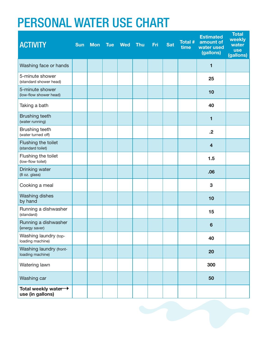## PERSONAL WATER USE CHART

| <b>ACTIVITY</b>                             | <b>Sun</b> | Mon Tue | <b>Wed</b> | <b>Thu</b> | Fri | <b>Sat</b> | <b>Total #</b><br>time | <b>Estimated</b><br>amount of<br>water used<br>(gallons) | <b>Total</b><br>weekly<br>water<br><b>use</b><br>(gallons) |
|---------------------------------------------|------------|---------|------------|------------|-----|------------|------------------------|----------------------------------------------------------|------------------------------------------------------------|
| Washing face or hands                       |            |         |            |            |     |            |                        | 1                                                        |                                                            |
| 5-minute shower<br>(standard shower head)   |            |         |            |            |     |            |                        | 25                                                       |                                                            |
| 5-minute shower<br>(low-flow shower head)   |            |         |            |            |     |            |                        | 10                                                       |                                                            |
| Taking a bath                               |            |         |            |            |     |            |                        | 40                                                       |                                                            |
| <b>Brushing teeth</b><br>(water running)    |            |         |            |            |     |            |                        | 1                                                        |                                                            |
| Brushing teeth<br>(water turned off)        |            |         |            |            |     |            |                        | $\cdot$                                                  |                                                            |
| Flushing the toilet<br>(standard toilet)    |            |         |            |            |     |            |                        | $\overline{\mathbf{4}}$                                  |                                                            |
| Flushing the toilet<br>(low-flow toilet)    |            |         |            |            |     |            |                        | 1.5                                                      |                                                            |
| Drinking water<br>(8 oz. glass)             |            |         |            |            |     |            |                        | .06                                                      |                                                            |
| Cooking a meal                              |            |         |            |            |     |            |                        | 3                                                        |                                                            |
| <b>Washing dishes</b><br>by hand            |            |         |            |            |     |            |                        | 10                                                       |                                                            |
| Running a dishwasher<br>(standard)          |            |         |            |            |     |            |                        | 15                                                       |                                                            |
| Running a dishwasher<br>(energy saver)      |            |         |            |            |     |            |                        | $6\phantom{1}6$                                          |                                                            |
| Washing laundry (top-<br>loading machine)   |            |         |            |            |     |            |                        | 40                                                       |                                                            |
| Washing laundry (front-<br>loading machine) |            |         |            |            |     |            |                        | 20                                                       |                                                            |
| Watering lawn                               |            |         |            |            |     |            |                        | 300                                                      |                                                            |
| Washing car                                 |            |         |            |            |     |            |                        | 50                                                       |                                                            |
| Total weekly water →<br>use (in gallons)    |            |         |            |            |     |            |                        |                                                          |                                                            |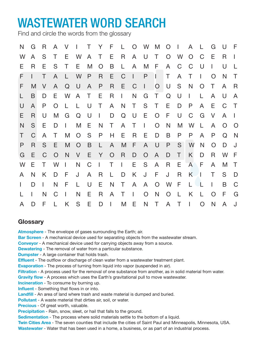## WASTEWATER WORD SEARCH

Find and circle the words from the glossary

| N | G            | R            | A              | V            | $\mathbf{1}$   | Τ            | Y            | F.           |              |                             | L O W M      |                | $\overline{O}$ | $\mathcal{L}$ | A            |                | G        | U            | $\mathsf F$  |
|---|--------------|--------------|----------------|--------------|----------------|--------------|--------------|--------------|--------------|-----------------------------|--------------|----------------|----------------|---------------|--------------|----------------|----------|--------------|--------------|
| W | A            | S            | T              | E.           | W              | $\mathsf{A}$ | $\top$       | Е            | R            | A                           | U            | $\top$         | $\Omega$       | W             | $\Omega$     | C              | Е        | R            |              |
| Е | R            | Е            | S              | Τ            | Е              | M            | O            | B            | L            | A                           | M            | F              | A              | C             | C            | U              |          | $\mathsf{U}$ |              |
| F | $\mathbf{I}$ | T            | A              | L            | W              | P            | $\mathsf{R}$ | E            | $\mathsf C$  | $\color{red} \blacklozenge$ | P            | $\mathbf{L}$   | T              | A             | Τ            | I              | $\Omega$ | N            | Τ            |
| F | M            | V            | A              | Q            | U              | A            | P            | $\mathsf{R}$ | E            | $\mathsf C$                 | $\mathbf{I}$ | $\overline{O}$ | U              | S             | N            | $\overline{O}$ | Τ        | A            | R            |
|   | B            | D            | E.             | W            | A              | T            | Е            | $\mathsf R$  | $\mathbf{L}$ | N                           | G            | T              | Q              | U             | $\mathbf{I}$ |                | A        | U            | A            |
| U | A            | P            | O              |              |                | U            | Τ            | $\mathsf{A}$ | N            | T.                          | S            | T.             | Е              | D             | P            | A              | Е        | C            | $\top$       |
| Е | R.           | U            | M              | G            | Q              | U            | L            | D            | Q            | U                           | E.           | $\overline{O}$ | F              | U             | C            | G              | V        | A            | $\mathbf{I}$ |
| N | S.           | Е            | D              | $\mathbf{I}$ | M              | Е            | N            | Τ            | $\mathsf{A}$ | T                           | $\mathbf{I}$ | O              | N              | M             | W            | L              | A        | O            | $\bigcap$    |
| Т | C            | $\mathsf{A}$ | Τ              | M            | $\overline{O}$ | S            | P            | Н            | Е            | R                           | E            | D              | B              | P             | P            | A              | P        | Q            | N            |
| P | R            | S            | E              | M            | $\overline{O}$ | B            | L            | $\mathsf{A}$ | M            | F                           | $\mathsf{A}$ | $\cup$         | $\mathsf{P}$   | S             | W            | N              | O        | D            | J            |
| G | E            | C            | $\overline{O}$ | N            | V              | Е            | Y            | O            | R            | D                           | O            | A              | D              | Τ             | K.           | D              | R        | W            | F            |
| W | Е            | T.           | W              | L            | N              | C            | $\mathbf{I}$ | Τ            | $\mathbf{L}$ | Е                           | S            | $\mathsf{A}$   | R              | Е             | $\mathsf{A}$ | F              | A        | M            | $\top$       |
| A | N            | K            | D              | F            | J              | A            | R            | L            | D            | K                           | J            | F              | J              | R             | K            | I              | Τ        | S            | D            |
|   | D            | $\mathbf{I}$ | N              | F            |                | U            | Е            | N            | Τ            | A                           | $\mathsf{A}$ | $\overline{O}$ | W              | F             | L            |                | I        | B            | $\mathsf C$  |
|   |              | N            | C              | L            | N              | Е            | R            | A            | Τ            | $\mathbf{I}$                | O            | N              | $\overline{O}$ | L             | K            | L.             | O        | F            | G            |
| A | D            | F            | L              | K            | S              | Е            | D            | L            | M            | Ε                           | N            | $\top$         | $\mathsf{A}$   | Τ             | $\mathbf{I}$ | O              | N        | A            | J            |

## **Glossary**

**Atmosphere** - The envelope of gases surrounding the Earth; air.

**Bar Screen** - A mechanical device used for separating objects from the wastewater stream.

**Conveyor** - A mechanical device used for carrying objects away from a source.

**Dewatering** - The removal of water from a particular substance.

**Dumpster** - A large container that holds trash.

**Effluent** - The outflow or discharge of clean water from a wastewater treatment plant.

**Evaporation** - The process of turning from liquid into vapor (suspended in air).

**Filtration** - A process used for the removal of one substance from another, as in solid material from water.

**Gravity flow** - A process which uses the Earth's gravitational pull to move wastewater.

**Incineration** - To consume by burning up.

**Influent** - Something that flows in or into.

**Landfill** - An area of land where trash and waste material is dumped and buried.

**Pollutant** - A waste material that dirties air, soil, or water.

**Precious** - Of great worth, valuable.

**Precipitation** - Rain, snow, sleet, or hail that falls to the ground.

**Sedimentation** - The process where solid materials settle to the bottom of a liquid.

**Twin Cities Area** - The seven counties that include the cities of Saint Paul and Minneapolis, Minnesota, USA. **Wastewater** - Water that has been used in a home, a business, or as part of an industrial process.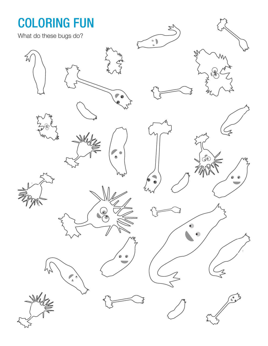## COLORING FUN